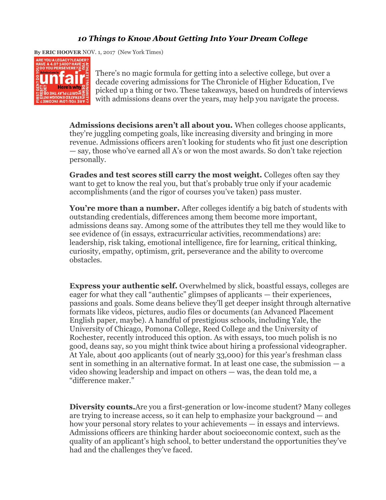## *10 Things to Know About Getting Into Your Dream College*

**By ERIC HOOVER** NOV. 1, 2017 (New York Times)



There's no magic formula for getting into a selective college, but over a decade covering admissions for The Chronicle of Higher Education, I've picked up a thing or two. These takeaways, based on hundreds of interviews with admissions deans over the years, may help you navigate the process.

**Admissions decisions aren't all about you.** When colleges choose applicants, they're juggling competing goals, like increasing diversity and bringing in more revenue. Admissions officers aren't looking for students who fit just one description — say, those who've earned all A's or won the most awards. So don't take rejection personally.

**Grades and test scores still carry the most weight.** Colleges often say they want to get to know the real you, but that's probably true only if your academic accomplishments (and the rigor of courses you've taken) pass muster.

**You're more than a number.** After colleges identify a big batch of students with outstanding credentials, differences among them become more important, admissions deans say. Among some of the attributes they tell me they would like to see evidence of (in essays, extracurricular activities, recommendations) are: leadership, risk taking, emotional intelligence, fire for learning, critical thinking, curiosity, empathy, optimism, grit, perseverance and the ability to overcome obstacles.

**Express your authentic self.** Overwhelmed by slick, boastful essays, colleges are eager for what they call "authentic" glimpses of applicants — their experiences, passions and goals. Some deans believe they'll get deeper insight through alternative formats like videos, pictures, audio files or documents (an Advanced Placement English paper, maybe). A handful of prestigious schools, including Yale, the University of Chicago, Pomona College, Reed College and the University of Rochester, recently introduced this option. As with essays, too much polish is no good, deans say, so you might think twice about hiring a professional videographer. At Yale, about 400 applicants (out of nearly 33,000) for this year's freshman class sent in something in an alternative format. In at least one case, the submission — a video showing leadership and impact on others — was, the dean told me, a "difference maker."

**Diversity counts.**Are you a first-generation or low-income student? Many colleges are trying to increase access, so it can help to emphasize your background — and how your personal story relates to your achievements — in essays and interviews. Admissions officers are thinking harder about socioeconomic context, such as the quality of an applicant's high school, to better understand the opportunities they've had and the challenges they've faced.